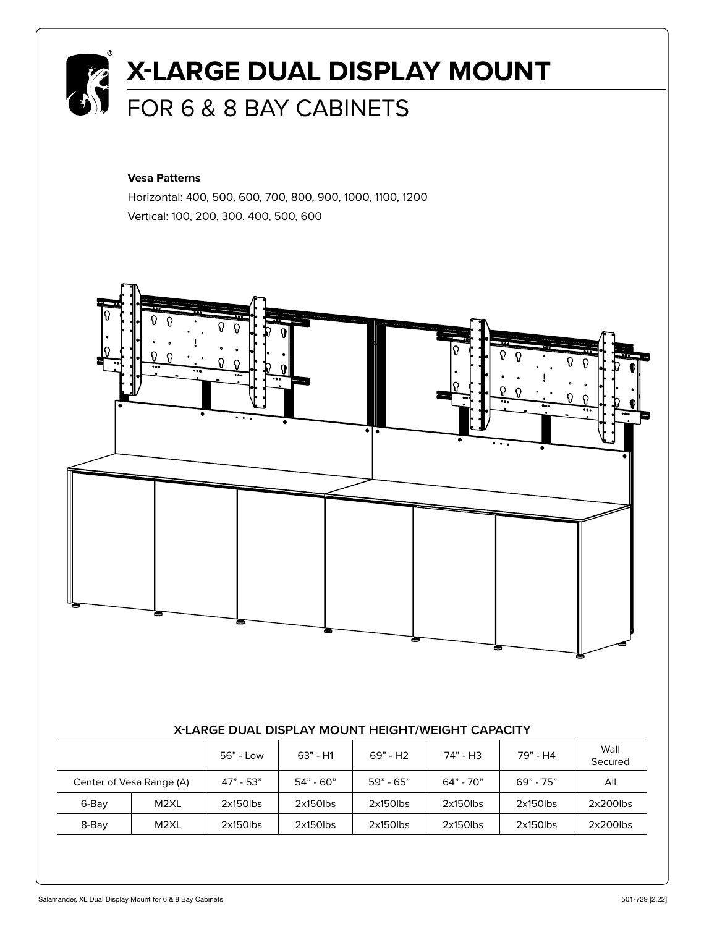

#### **Vesa Patterns**

Horizontal: 400, 500, 600, 700, 800, 900, 1000, 1100, 1200 Vertical: 100, 200, 300, 400, 500, 600



#### **X-LARGE DUAL DISPLAY MOUNT HEIGHT/WEIGHT CAPACITY**

|                          |                   | 56" - Low   | $63" - H1$  | $69" - H2$  | 74" - H3    | 79" - H4    | Wall<br>Secured |
|--------------------------|-------------------|-------------|-------------|-------------|-------------|-------------|-----------------|
| Center of Vesa Range (A) |                   | $47" - 53"$ | $54" - 60"$ | $59" - 65"$ | $64" - 70"$ | $69" - 75"$ | All             |
| 6-Bay                    | M <sub>2</sub> XL | $2x150$ lbs | $2x150$ lbs | $2x150$ lbs | $2x150$ lbs | $2x150$ lbs | $2x200$ lbs     |
| 8-Bay                    | M2XL              | $2x150$ lbs | $2x150$ lbs | $2x150$ lbs | $2x150$ lbs | $2x150$ lbs | $2x200$ lbs     |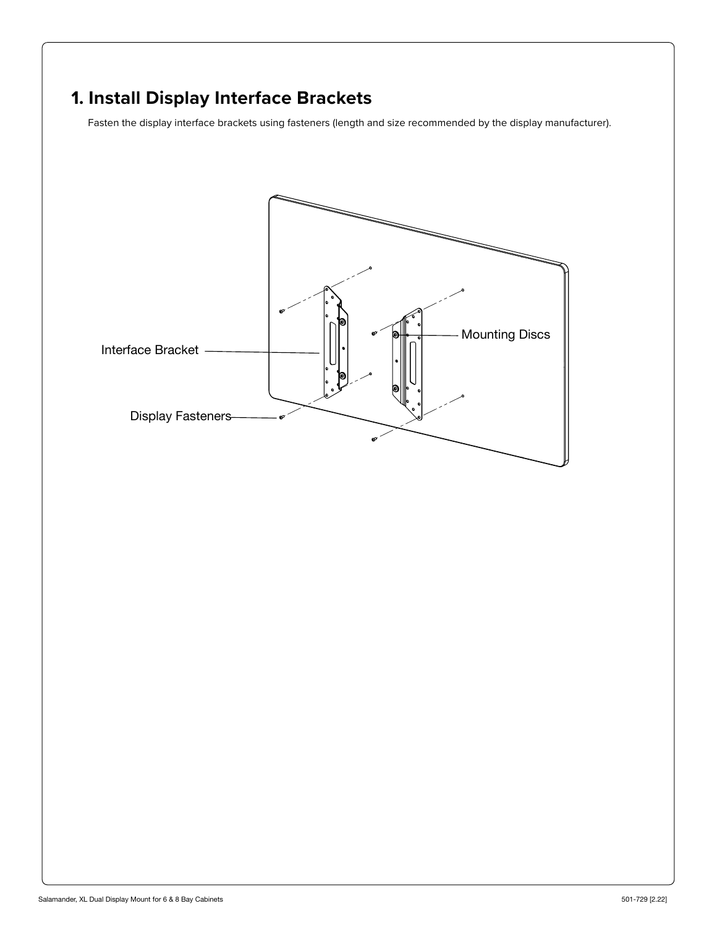# **1. Install Display Interface Brackets**

Fasten the display interface brackets using fasteners (length and size recommended by the display manufacturer).

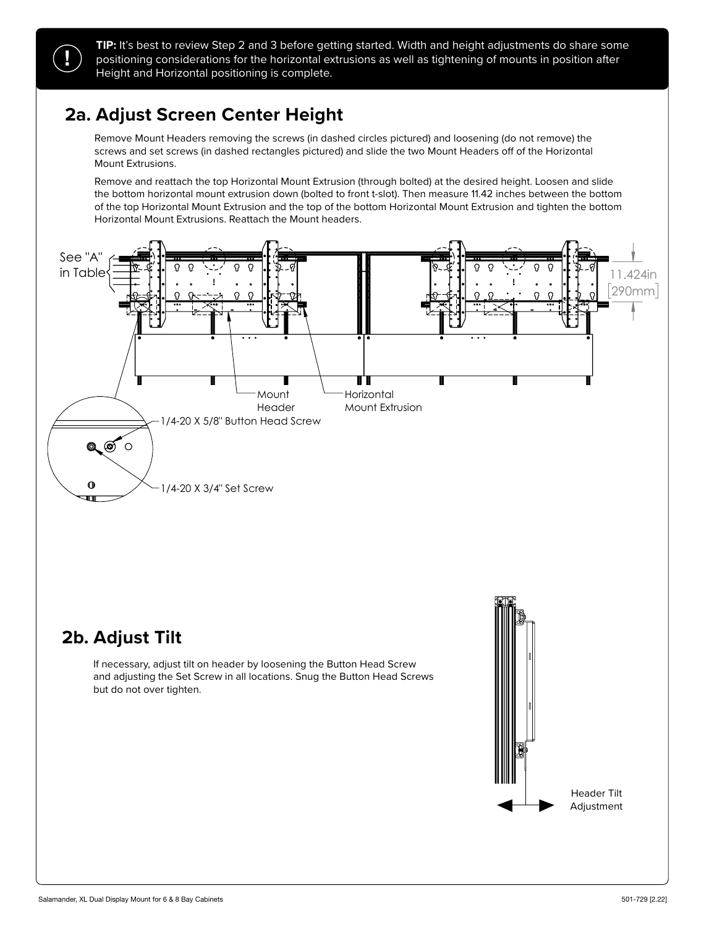**!**

**TIP:** It's best to review Step 2 and 3 before getting started. Width and height adjustments do share some positioning considerations for the horizontal extrusions as well as tightening of mounts in position after Height and Horizontal positioning is complete.

## **2a. Adjust Screen Center Height**

Remove Mount Headers removing the screws (in dashed circles pictured) and loosening (do not remove) the screws and set screws (in dashed rectangles pictured) and slide the two Mount Headers off of the Horizontal Mount Extrusions. Removing Headers by removing the screws (in dashed circles pictures) and loosening (do not remove) the screws (do not remove) the screws (do not remove) the screws (do not remove) the screws (do not remove) the screws (do

Remove and reattach the top Horizontal Mount Extrusion (through bolted) at the desired height. Loosen and slide the bottom horizontal mount extrusion down (bolted to front t-slot). Then measure 11.42 inches between the bottom of the top Horizontal Mount Extrusion and the top of the bottom Horizontal Mount Extrusion and tighten the bottom Horizontal Mount Extrusions. Reattach the Mount headers. Horizontal Mount Extrusions. Reattach the Mount headers.



### **2b. Adjust Tilt**

If necessary, adjust tilt on header by loosening the Button Head Screw and adjusting the Set Screw in all locations. Snug the Button Head Screws but do not over tighten.

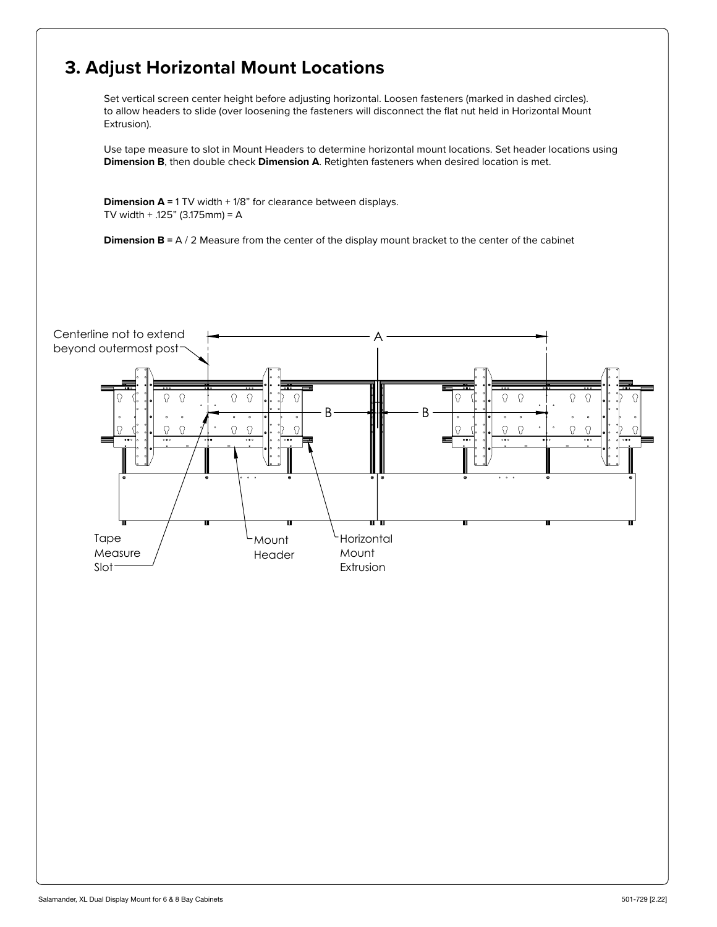## **3. Adjust Horizontal Mount Locations**

Set vertical screen center height before adjusting horizontal. Loosen fasteners (marked in dashed circles). to allow headers to slide (over loosening the fasteners will disconnect the flat nut held in Horizontal Mount Extrusion).

Use tape measure to slot in Mount Headers to determine horizontal mount locations. Set header locations using **Dimension B**, then double check **Dimension A**. Retighten fasteners when desired location is met.

**Dimension A** = 1 TV width + 1/8" for clearance between displays. TV width + .125" (3.175mm) = A

**Dimension B** = A / 2 Measure from the center of the display mount bracket to the center of the cabinet